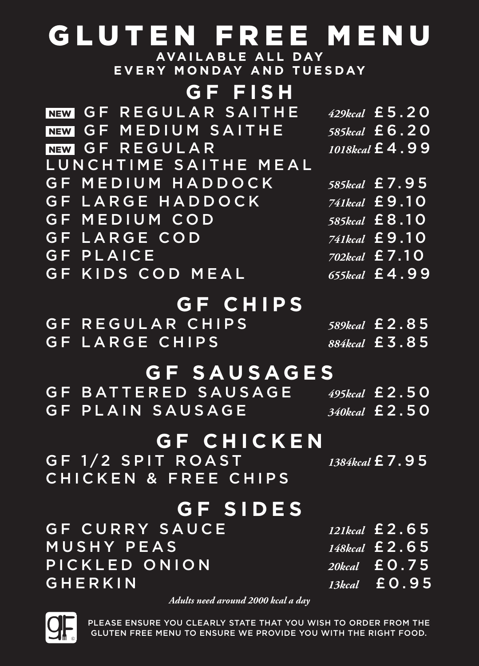## GLUTEN FREE MENU

**AVAILABLE ALL DAY EVERY MONDAY AND TUESDAY**

#### **GF FISH**

| <b>GF REGULAR SAITHE</b><br><b>NEW</b> | 429kcal £5.20                               |
|----------------------------------------|---------------------------------------------|
| NEW GF MEDIUM SAITHE                   | 585kcal £6.20                               |
| NEW GF REGULAR                         | 1018kcal £4.99                              |
| LUNCHTIME SAITHE MEAL                  |                                             |
| GF MEDIUM HADDOCK                      | 585kcal £7.95                               |
| GF LARGE HADDOCK                       | 741kcal $\pm 9.10$                          |
| <b>GF MEDIUM COD</b>                   | 585kcal £8.10                               |
| <b>GF LARGE COD</b>                    | 741kcal £9.10                               |
| <b>GF PLAICE</b>                       | $\overline{702}$ kcal £7.10                 |
| <b>GF KIDS COD MEAL</b>                | 655kcal £4.99                               |
| <b>GF CHIPS</b>                        |                                             |
|                                        |                                             |
| <b>GF REGULAR CHIPS</b>                | 589kcal £2.85                               |
| <b>GF LARGE CHIPS</b>                  | 884kcal £ 3.85                              |
| <b>GF SAUSAGES</b>                     |                                             |
| <b>GF BATTERED SAUSAGE</b>             | 495kcal £ 2.50                              |
| <b>GF PLAIN SAUSAGE</b>                | $\overline{340}$ kcal £ 2.50                |
|                                        |                                             |
| <b>GF CHICKEN</b>                      |                                             |
| GF 1/2 SPIT ROAST                      | 1384kcal £7.95                              |
| <b>CHICKEN &amp; FREE CHIPS</b>        |                                             |
| <b>GF SIDES</b>                        |                                             |
| <b>GF CURRY SAUCE</b>                  |                                             |
| <b>MUSHY PEAS</b>                      | $12$ Ikcal $\pm 2.65$<br>148kcal $\pm 2.65$ |
|                                        |                                             |
| PICKLED ONION                          | 20kcal £ 0.75                               |
| GHERKIN                                | 13kcal £ 0.95                               |

*Adults need around 2000 kcal a day*